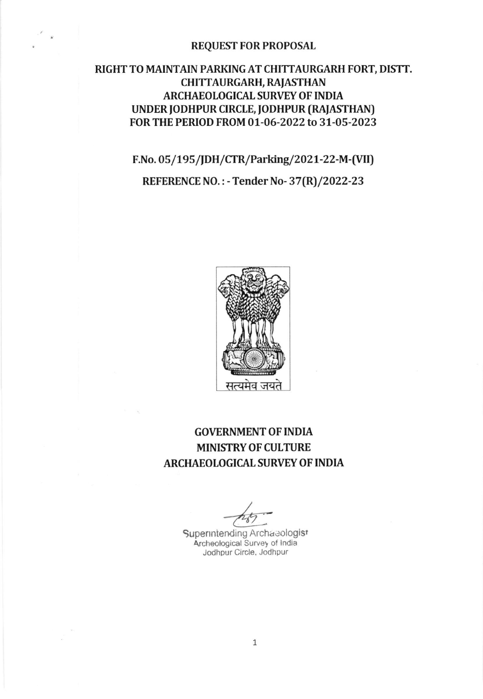#### **REQUEST FOR PROPOSAL**

# RIGHT TO MAINTAIN PARKING AT CHITTAURGARH FORT, DISTT. **CHITTAURGARH, RAJASTHAN ARCHAEOLOGICAL SURVEY OF INDIA** UNDER JODHPUR CIRCLE, JODHPUR (RAJASTHAN) FOR THE PERIOD FROM 01-06-2022 to 31-05-2023

F.No. 05/195/JDH/CTR/Parking/2021-22-M-(VII)

REFERENCE NO.: - Tender No-37(R)/2022-23



# **GOVERNMENT OF INDIA MINISTRY OF CULTURE ARCHAEOLOGICAL SURVEY OF INDIA**

Superintending Archaeologist Archeological Survey of India Jodhpur Circle, Jodhpur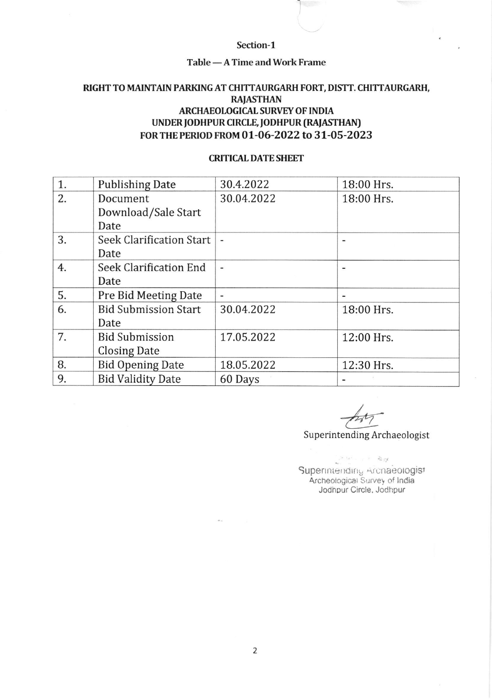#### Section-1

# Table — A Time and Work Frame<br>

## RIGHT TO MAINTAIN PARKING AT CHITTAURGARH FORT, DISTT. CHITTAURGARH, **RAJASTHAN** ARCHAEOLOGICAL SURVEY OF INDIA UNDER JODHPUR CIRCLE, JODHPUR (RAJASTHAN) FoR rHE PERIoD FRoM 01-06-2O22 to 3l-O5-2O23

#### **CRITICAL DATE SHEET**

| 1. | <b>Publishing Date</b>        | 30.4.2022  | 18:00 Hrs. |
|----|-------------------------------|------------|------------|
| 2. | Document                      | 30.04.2022 | 18:00 Hrs. |
|    | Download/Sale Start           |            |            |
|    | Date                          |            |            |
| 3. | Seek Clarification Start      |            |            |
|    | Date                          |            |            |
| 4. | <b>Seek Clarification End</b> |            |            |
|    | Date                          |            |            |
| 5. | Pre Bid Meeting Date          |            |            |
| 6. | <b>Bid Submission Start</b>   | 30.04.2022 | 18:00 Hrs. |
|    | Date                          |            |            |
| 7. | <b>Bid Submission</b>         | 17.05.2022 | 12:00 Hrs. |
|    | <b>Closing Date</b>           |            |            |
| 8. | <b>Bid Opening Date</b>       | 18.05.2022 | 12:30 Hrs. |
| 9. | <b>Bid Validity Date</b>      | 60 Days    |            |

Superintending Archaeologist b

 $\label{eq:reduced} \mathcal{P}(\mathcal{A}^{\mathcal{A}}) = \mathcal{P}(\mathcal{A}^{\mathcal{A}})$  with Superintending Archaeologist Archeologicat Survey of lndia JodhDur Circle, Jodhpur